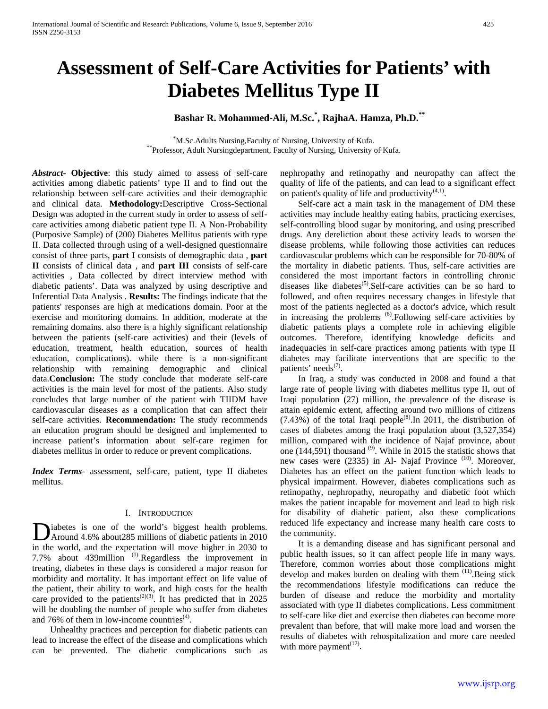# **Assessment of Self-Care Activities for Patients' with Diabetes Mellitus Type II**

# **Bashar R. Mohammed-Ali, M.Sc.\* , RajhaA. Hamza, Ph.D.\*\***

<sup>\*</sup>M.Sc.Adults Nursing, Faculty of Nursing, University of Kufa. \*\*Professor, Adult Nursingdepartment, Faculty of Nursing, University of Kufa.

*Abstract***- Objective**: this study aimed to assess of self-care activities among diabetic patients' type II and to find out the relationship between self-care activities and their demographic and clinical data. **Methodology:**Descriptive Cross-Sectional Design was adopted in the current study in order to assess of selfcare activities among diabetic patient type II. A Non-Probability (Purposive Sample) of (200) Diabetes Mellitus patients with type II. Data collected through using of a well-designed questionnaire consist of three parts, **part I** consists of demographic data , **part II** consists of clinical data , and **part III** consists of self-care activities , Data collected by direct interview method with diabetic patients'. Data was analyzed by using descriptive and Inferential Data Analysis . **Results:** The findings indicate that the patients' responses are high at medications domain. Poor at the exercise and monitoring domains. In addition, moderate at the remaining domains. also there is a highly significant relationship between the patients (self-care activities) and their (levels of education, treatment, health education, sources of health education, complications). while there is a non-significant relationship with remaining demographic and clinical data.**Conclusion:** The study conclude that moderate self-care activities is the main level for most of the patients. Also study concludes that large number of the patient with TIIDM have cardiovascular diseases as a complication that can affect their self-care activities. **Recommendation:** The study recommends an education program should be designed and implemented to increase patient's information about self-care regimen for diabetes mellitus in order to reduce or prevent complications.

*Index Terms*- assessment, self-care, patient, type II diabetes mellitus.

## I. INTRODUCTION

iabetes is one of the world's biggest health problems. Around 4.6% about285 millions of diabetic patients in 2010 Diabetes is one of the world's biggest health problems.<br>Around 4.6% about285 millions of diabetic patients in 2010<br>in the world, and the expectation will move higher in 2030 to 7.7% about 439million (1).Regardless the improvement in treating, diabetes in these days is considered a major reason for morbidity and mortality. It has important effect on life value of the patient, their ability to work, and high costs for the health care provided to the patients<sup> $(2)(3)$ </sup>. It has predicted that in 2025 will be doubling the number of people who suffer from diabetes and 76% of them in low-income countries $<sup>(4)</sup>$ .</sup>

 Unhealthy practices and perception for diabetic patients can lead to increase the effect of the disease and complications which can be prevented. The diabetic complications such as nephropathy and retinopathy and neuropathy can affect the quality of life of the patients, and can lead to a significant effect on patient's quality of life and productivity $(4,1)$ .

 Self-care act a main task in the management of DM these activities may include healthy eating habits, practicing exercises, self-controlling blood sugar by monitoring, and using prescribed drugs. Any dereliction about these activity leads to worsen the disease problems, while following those activities can reduces cardiovascular problems which can be responsible for 70-80% of the mortality in diabetic patients. Thus, self-care activities are considered the most important factors in controlling chronic diseases like diabetes<sup>(5)</sup>.Self-care activities can be so hard to followed, and often requires necessary changes in lifestyle that most of the patients neglected as a doctor's advice, which result in increasing the problems <sup>(6)</sup>.Following self-care activities by diabetic patients plays a complete role in achieving eligible outcomes. Therefore, identifying knowledge deficits and inadequacies in self-care practices among patients with type II diabetes may facilitate interventions that are specific to the patients' needs<sup>(7)</sup>.

 In Iraq, a study was conducted in 2008 and found a that large rate of people living with diabetes mellitus type II, out of Iraqi population (27) million, the prevalence of the disease is attain epidemic extent, affecting around two millions of citizens  $(7.43\%)$  of the total Iraqi people<sup>(8)</sup>. In 2011, the distribution of cases of diabetes among the Iraqi population about (3,527,354) million, compared with the incidence of Najaf province, about one  $(144,591)$  thousand  $^{(9)}$ . While in 2015 the statistic shows that new cases were (2335) in Al- Najaf Province<sup>(10)</sup>. Moreover, Diabetes has an effect on the patient function which leads to physical impairment. However, diabetes complications such as retinopathy, nephropathy, neuropathy and diabetic foot which makes the patient incapable for movement and lead to high risk for disability of diabetic patient, also these complications reduced life expectancy and increase many health care costs to the community.

 It is a demanding disease and has significant personal and public health issues, so it can affect people life in many ways. Therefore, common worries about those complications might develop and makes burden on dealing with them  $(11)$ . Being stick the recommendations lifestyle modifications can reduce the burden of disease and reduce the morbidity and mortality associated with type II diabetes complications. Less commitment to self-care like diet and exercise then diabetes can become more prevalent than before, that will make more load and worsen the results of diabetes with rehospitalization and more care needed with more payment<sup> $(12)$ </sup>.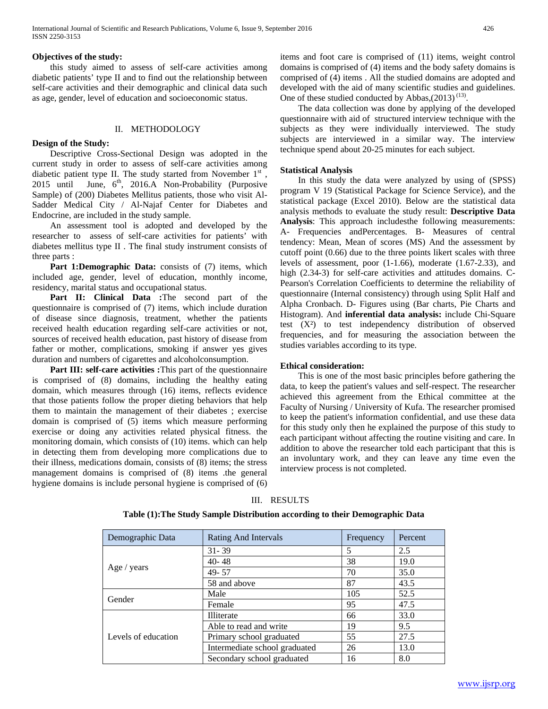## **Objectives of the study:**

 this study aimed to assess of self-care activities among diabetic patients' type II and to find out the relationship between self-care activities and their demographic and clinical data such as age, gender, level of education and socioeconomic status.

## II. METHODOLOGY

## **Design of the Study:**

 Descriptive Cross-Sectional Design was adopted in the current study in order to assess of self-care activities among diabetic patient type II. The study started from November 1st, 2015 until June, 6<sup>th</sup>, 2016.A Non-Probability (Purposive Sample) of (200) Diabetes Mellitus patients, those who visit Al-Sadder Medical City / Al-Najaf Center for Diabetes and Endocrine, are included in the study sample.

 An assessment tool is adopted and developed by the researcher to assess of self-care activities for patients' with diabetes mellitus type II . The final study instrument consists of three parts :

**Part 1:Demographic Data:** consists of (7) items, which included age, gender, level of education, monthly income, residency, marital status and occupational status.

 **Part II: Clinical Data :**The second part of the questionnaire is comprised of (7) items, which include duration of disease since diagnosis, treatment, whether the patients received health education regarding self-care activities or not, sources of received health education, past history of disease from father or mother, complications, smoking if answer yes gives duration and numbers of cigarettes and alcoholconsumption.

 **Part III: self-care activities :**This part of the questionnaire is comprised of (8) domains, including the healthy eating domain, which measures through (16) items, reflects evidence that those patients follow the proper dieting behaviors that help them to maintain the management of their diabetes ; exercise domain is comprised of (5) items which measure performing exercise or doing any activities related physical fitness. the monitoring domain, which consists of (10) items. which can help in detecting them from developing more complications due to their illness, medications domain, consists of (8) items; the stress management domains is comprised of (8) items .the general hygiene domains is include personal hygiene is comprised of (6) items and foot care is comprised of (11) items, weight control domains is comprised of (4) items and the body safety domains is comprised of (4) items . All the studied domains are adopted and developed with the aid of many scientific studies and guidelines. One of these studied conducted by Abbas, $(2013)^{(13)}$ .

 The data collection was done by applying of the developed questionnaire with aid of structured interview technique with the subjects as they were individually interviewed. The study subjects are interviewed in a similar way. The interview technique spend about 20-25 minutes for each subject.

## **Statistical Analysis**

 In this study the data were analyzed by using of (SPSS) program V 19 (Statistical Package for Science Service), and the statistical package (Excel 2010). Below are the statistical data analysis methods to evaluate the study result: **Descriptive Data Analysis**: This approach includesthe following measurements: A- Frequencies andPercentages. B- Measures of central tendency: Mean, Mean of scores (MS) And the assessment by cutoff point (0.66) due to the three points likert scales with three levels of assessment, poor (1-1.66), moderate (1.67-2.33), and high (2.34-3) for self-care activities and attitudes domains. C-Pearson's Correlation Coefficients to determine the reliability of questionnaire (Internal consistency) through using Split Half and Alpha Cronbach. D- Figures using (Bar charts, Pie Charts and Histogram). And **inferential data analysis:** include Chi-Square test (X²) to test independency distribution of observed frequencies, and for measuring the association between the studies variables according to its type.

## **Ethical consideration:**

 This is one of the most basic principles before gathering the data, to keep the patient's values and self-respect. The researcher achieved this agreement from the Ethical committee at the Faculty of Nursing / University of Kufa. The researcher promised to keep the patient's information confidential, and use these data for this study only then he explained the purpose of this study to each participant without affecting the routine visiting and care. In addition to above the researcher told each participant that this is an involuntary work, and they can leave any time even the interview process is not completed.

| Demographic Data    | <b>Rating And Intervals</b>   | Frequency | Percent |
|---------------------|-------------------------------|-----------|---------|
|                     | $31 - 39$                     | 5         | 2.5     |
|                     | $40 - 48$                     | 38        | 19.0    |
| Age / years         | $49 - 57$                     | 70        | 35.0    |
|                     | 58 and above                  | 87        | 43.5    |
| Gender              | Male                          | 105       | 52.5    |
|                     | Female                        | 95        | 47.5    |
|                     | Illiterate                    | 66        | 33.0    |
|                     | Able to read and write        | 19        | 9.5     |
| Levels of education | Primary school graduated      | 55        | 27.5    |
|                     | Intermediate school graduated | 26        | 13.0    |
|                     | Secondary school graduated    | 16        | 8.0     |

## III. RESULTS

## **Table (1):The Study Sample Distribution according to their Demographic Data**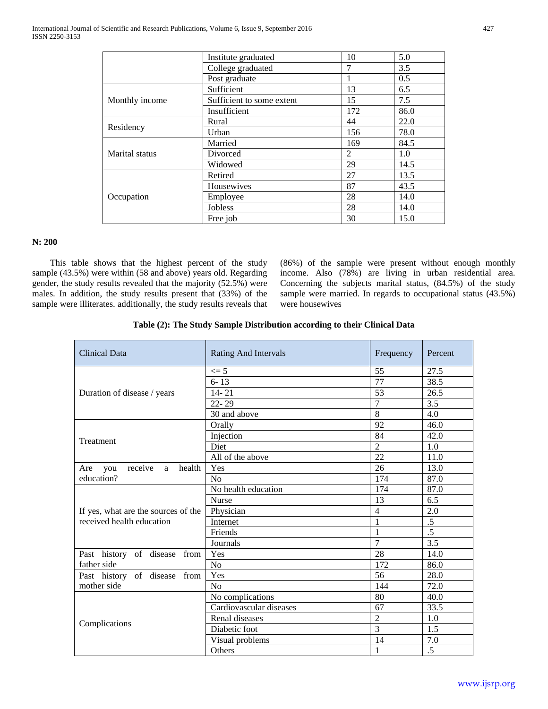|                | Institute graduated       | 10  | 5.0  |
|----------------|---------------------------|-----|------|
|                | College graduated         | 7   | 3.5  |
|                | Post graduate             |     | 0.5  |
|                | Sufficient                | 13  | 6.5  |
| Monthly income | Sufficient to some extent | 15  | 7.5  |
|                | Insufficient              | 172 | 86.0 |
|                | Rural                     | 44  | 22.0 |
| Residency      | Urban                     | 156 | 78.0 |
|                | Married                   | 169 | 84.5 |
| Marital status | Divorced                  | 2   | 1.0  |
|                | Widowed                   | 29  | 14.5 |
|                | Retired                   | 27  | 13.5 |
|                | Housewives                | 87  | 43.5 |
| Occupation     | Employee                  | 28  | 14.0 |
|                | <b>Jobless</b>            | 28  | 14.0 |
|                | Free job                  | 30  | 15.0 |

# **N: 200**

 This table shows that the highest percent of the study sample (43.5%) were within (58 and above) years old. Regarding gender, the study results revealed that the majority (52.5%) were males. In addition, the study results present that (33%) of the sample were illiterates. additionally, the study results reveals that

(86%) of the sample were present without enough monthly income. Also (78%) are living in urban residential area. Concerning the subjects marital status, (84.5%) of the study sample were married. In regards to occupational status (43.5%) were housewives

|  | Table (2): The Study Sample Distribution according to their Clinical Data |  |  |
|--|---------------------------------------------------------------------------|--|--|
|--|---------------------------------------------------------------------------|--|--|

| <b>Clinical Data</b>                 | <b>Rating And Intervals</b> | Frequency       | Percent         |
|--------------------------------------|-----------------------------|-----------------|-----------------|
|                                      | $\leq$ 5                    | 55              | 27.5            |
|                                      | $6 - 13$                    | 77              | 38.5            |
| Duration of disease / years          | $14 - 21$                   | 53              | 26.5            |
|                                      | $22 - 29$                   | 7               | 3.5             |
|                                      | 30 and above                | 8               | 4.0             |
|                                      | Orally                      | 92              | 46.0            |
|                                      | Injection                   | 84              | 42.0            |
| Treatment                            | Diet                        | $\overline{2}$  | 1.0             |
|                                      | All of the above            | $\overline{22}$ | 11.0            |
| health<br>receive<br>Are<br>you<br>a | Yes                         | 26              | 13.0            |
| education?                           | No                          | 174             | 87.0            |
|                                      | No health education         | 174             | 87.0            |
|                                      | <b>Nurse</b>                | 13              | 6.5             |
| If yes, what are the sources of the  | Physician                   | $\overline{4}$  | 2.0             |
| received health education            | Internet                    | $\mathbf{1}$    | .5              |
|                                      | Friends                     | $\mathbf{1}$    | $\overline{.5}$ |
|                                      | Journals                    | $\overline{7}$  | 3.5             |
| Past history of disease from         | Yes                         | 28              | 14.0            |
| father side                          | N <sub>o</sub>              | 172             | 86.0            |
| Past history of disease from         | Yes                         | 56              | 28.0            |
| mother side                          | N <sub>o</sub>              | 144             | 72.0            |
|                                      | No complications            | 80              | 40.0            |
|                                      | Cardiovascular diseases     | 67              | 33.5            |
|                                      | Renal diseases              | $\overline{2}$  | 1.0             |
| Complications                        | Diabetic foot               | 3               | 1.5             |
|                                      | Visual problems             | 14              | 7.0             |
|                                      | Others                      | $\mathbf{1}$    | $\overline{.5}$ |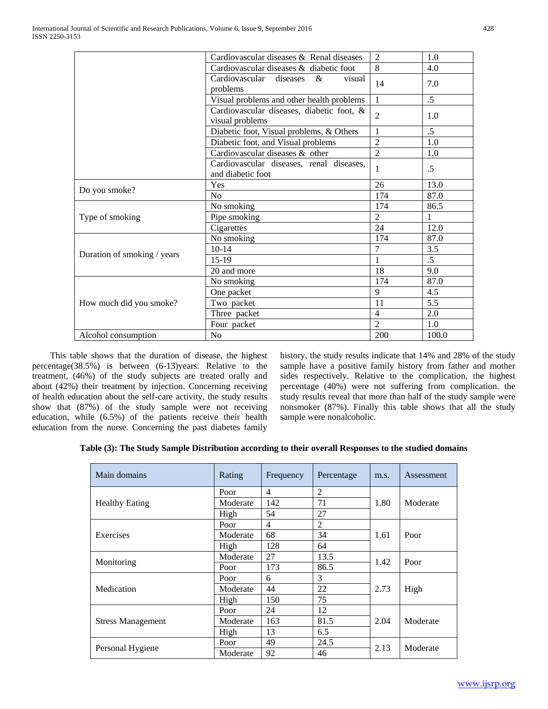|                             | Cardiovascular diseases & Renal diseases                      | $\mathfrak{D}$ | 1.0             |
|-----------------------------|---------------------------------------------------------------|----------------|-----------------|
|                             | Cardiovascular diseases & diabetic foot                       | 8              | 4.0             |
|                             | Cardiovascular<br>diseases<br>&<br>visual<br>problems         | 14             | 7.0             |
|                             | Visual problems and other health problems                     | $\mathbf{1}$   | $.5\,$          |
|                             | Cardiovascular diseases, diabetic foot, &<br>visual problems  | 2              | 1.0             |
|                             | Diabetic foot, Visual problems, & Others                      | 1              | $.5\,$          |
|                             | Diabetic foot, and Visual problems                            | $\overline{2}$ | 1.0             |
|                             | Cardiovascular diseases & other                               | $\overline{2}$ | 1.0             |
|                             | Cardiovascular diseases, renal diseases,<br>and diabetic foot | 1              | $\overline{.5}$ |
|                             | Yes                                                           | 26             | 13.0            |
| Do you smoke?               | No                                                            | 174            | 87.0            |
|                             | No smoking                                                    | 174            | 86.5            |
| Type of smoking             | Pipe smoking                                                  | $\mathfrak{D}$ | 1               |
|                             | Cigarettes                                                    | 24             | 12.0            |
|                             | No smoking                                                    | 174            | 87.0            |
| Duration of smoking / years | $10 - 14$                                                     | $\overline{7}$ | 3.5             |
|                             | $15-19$                                                       | 1              | $.5\,$          |
|                             | 20 and more                                                   | 18             | 9.0             |
|                             | No smoking                                                    | 174            | 87.0            |
|                             | One packet                                                    | 9              | 4.5             |
| How much did you smoke?     | Two packet                                                    | 11             | 5.5             |
|                             | Three packet                                                  | $\overline{4}$ | 2.0             |
|                             | Four packet                                                   | $\overline{2}$ | 1.0             |
| Alcohol consumption         | No                                                            | 200            | 100.0           |

 This table shows that the duration of disease, the highest percentage(38.5%) is between (6-13)years. Relative to the treatment, (46%) of the study subjects are treated orally and about (42%) their treatment by injection. Concerning receiving of health education about the self-care activity, the study results show that (87%) of the study sample were not receiving education, while (6.5%) of the patients receive their health education from the nurse. Concerning the past diabetes family

history, the study results indicate that 14% and 28% of the study sample have a positive family history from father and mother sides respectively. Relative to the complication, the highest percentage (40%) were not suffering from complication. the study results reveal that more than half of the study sample were nonsmoker (87%). Finally this table shows that all the study sample were nonalcoholic.

|  |  | Table (3): The Study Sample Distribution according to their overall Responses to the studied domains |  |  |
|--|--|------------------------------------------------------------------------------------------------------|--|--|
|  |  |                                                                                                      |  |  |

| Main domains             | Rating   | Frequency | Percentage     | m.s. | Assessment |
|--------------------------|----------|-----------|----------------|------|------------|
|                          | Poor     | 4         | 2              |      |            |
| <b>Healthy Eating</b>    | Moderate | 142       | 71             | 1.80 | Moderate   |
|                          | High     | 54        | 27             |      |            |
|                          | Poor     | 4         | $\overline{2}$ |      |            |
| Exercises                | Moderate | 68        | 34             | 1.61 | Poor       |
|                          | High     | 128       | 64             |      |            |
|                          | Moderate | 27        | 13.5           | 1.42 | Poor       |
| Monitoring               | Poor     | 173       | 86.5           |      |            |
|                          | Poor     | 6         | 3              |      | High       |
| Medication               | Moderate | 44        | 22             | 2.73 |            |
|                          | High     | 150       | 75             |      |            |
|                          | Poor     | 24        | 12             |      |            |
| <b>Stress Management</b> | Moderate | 163       | 81.5           | 2.04 | Moderate   |
|                          | High     | 13        | 6.5            |      |            |
|                          | Poor     | 49        | 24.5           | 2.13 | Moderate   |
| Personal Hygiene         | Moderate | 92        | 46             |      |            |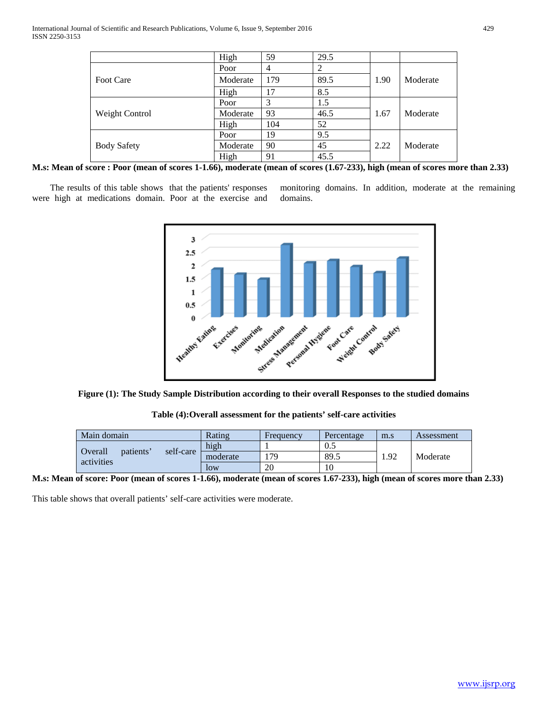|                       | High     | 59             | 29.5 |      |          |
|-----------------------|----------|----------------|------|------|----------|
|                       | Poor     | $\overline{4}$ |      |      |          |
| <b>Foot Care</b>      | Moderate | 179            | 89.5 | 1.90 | Moderate |
|                       | High     | 17             | 8.5  |      |          |
|                       | Poor     | 3              | 1.5  |      |          |
| <b>Weight Control</b> | Moderate | 93             | 46.5 | 1.67 | Moderate |
|                       | High     | 104            | 52   |      |          |
|                       | Poor     | 19             | 9.5  |      |          |
| <b>Body Safety</b>    | Moderate | 90             | 45   | 2.22 | Moderate |
|                       | High     | 91             | 45.5 |      |          |

**M.s: Mean of score : Poor (mean of scores 1-1.66), moderate (mean of scores (1.67-233), high (mean of scores more than 2.33)**

 The results of this table shows that the patients' responses were high at medications domain. Poor at the exercise and

monitoring domains. In addition, moderate at the remaining domains.



**Figure (1): The Study Sample Distribution according to their overall Responses to the studied domains**

**Table (4):Overall assessment for the patients' self-care activities**

| Main domain                                     |          | Rating | Frequency | Percentage | m.s      | Assessment |
|-------------------------------------------------|----------|--------|-----------|------------|----------|------------|
|                                                 |          | high   |           | 0.5        |          |            |
| self-care<br>Overall<br>patients'<br>activities | moderate | 179    | 89.5      | .92        | Moderate |            |
|                                                 | low      | 20     | 10        |            |          |            |

**M.s: Mean of score: Poor (mean of scores 1-1.66), moderate (mean of scores 1.67-233), high (mean of scores more than 2.33)**

This table shows that overall patients' self-care activities were moderate.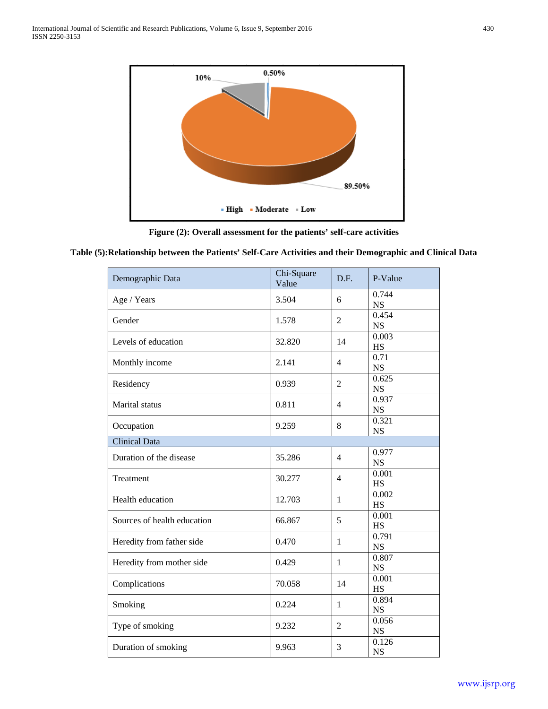

**Figure (2): Overall assessment for the patients' self-care activities**

# **Table (5):Relationship between the Patients' Self-Care Activities and their Demographic and Clinical Data**

| Demographic Data            | Chi-Square<br>Value | D.F.           | P-Value            |
|-----------------------------|---------------------|----------------|--------------------|
| Age / Years                 | 3.504               | 6              | 0.744<br><b>NS</b> |
| Gender                      | 1.578               | $\overline{2}$ | 0.454<br><b>NS</b> |
| Levels of education         | 32.820              | 14             | 0.003<br>HS        |
| Monthly income              | 2.141               | $\overline{4}$ | 0.71<br><b>NS</b>  |
| Residency                   | 0.939               | $\overline{2}$ | 0.625<br><b>NS</b> |
| Marital status              | 0.811               | $\overline{4}$ | 0.937<br><b>NS</b> |
| Occupation                  | 9.259               | 8              | 0.321<br><b>NS</b> |
| <b>Clinical Data</b>        |                     |                |                    |
| Duration of the disease     | 35.286              | $\overline{4}$ | 0.977<br><b>NS</b> |
| Treatment                   | 30.277              | $\overline{4}$ | 0.001<br>HS        |
| Health education            | 12.703              | $\mathbf{1}$   | 0.002<br>HS        |
| Sources of health education | 66.867              | 5              | 0.001<br><b>HS</b> |
| Heredity from father side   | 0.470               | $\mathbf{1}$   | 0.791<br><b>NS</b> |
| Heredity from mother side   | 0.429               | $\mathbf{1}$   | 0.807<br><b>NS</b> |
| Complications               | 70.058              | 14             | 0.001<br>HS        |
| Smoking                     | 0.224               | $\mathbf{1}$   | 0.894<br><b>NS</b> |
| Type of smoking             | 9.232               | $\overline{2}$ | 0.056<br><b>NS</b> |
| Duration of smoking         | 9.963               | 3              | 0.126<br><b>NS</b> |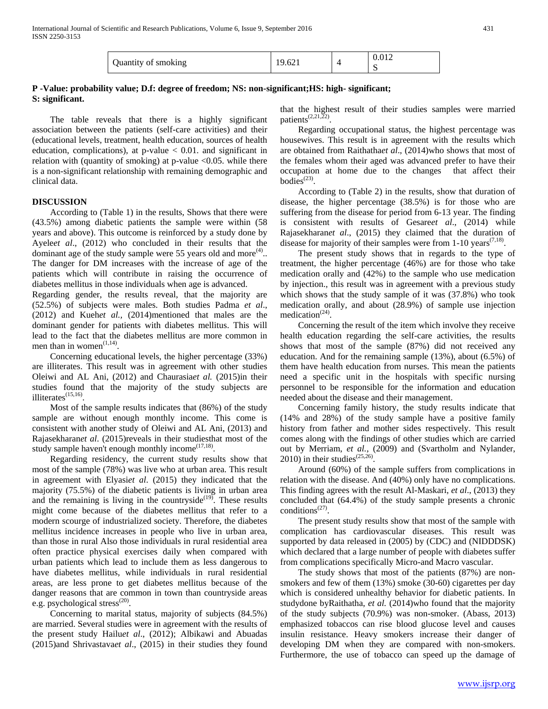|                     | 19.621 |   |
|---------------------|--------|---|
| Quantity of smoking |        | ຼ |

# **P -Value: probability value; D.f: degree of freedom; NS: non-significant;HS: high- significant; S: significant.**

 The table reveals that there is a highly significant association between the patients (self-care activities) and their (educational levels, treatment, health education, sources of health education, complications), at  $p$ -value  $\lt$  0.01. and significant in relation with (quantity of smoking) at p-value  $\langle 0.05$ . while there is a non-significant relationship with remaining demographic and clinical data.

# **DISCUSSION**

 According to (Table 1) in the results, Shows that there were (43.5%) among diabetic patients the sample were within (58 years and above). This outcome is reinforced by a study done by Ayele*et al*., (2012) who concluded in their results that the dominant age of the study sample were 55 years old and more $(4)$ ... The danger for DM increases with the increase of age of the patients which will contribute in raising the occurrence of diabetes mellitus in those individuals when age is advanced.

Regarding gender, the results reveal, that the majority are (52.5%) of subjects were males. Both studies Padma *et al*., (2012) and Kueh*et al.,* (2014)mentioned that males are the dominant gender for patients with diabetes mellitus. This will lead to the fact that the diabetes mellitus are more common in men than in women $(1,14)$ .

 Concerning educational levels, the higher percentage (33%) are illiterates. This result was in agreement with other studies Oleiwi and AL Ani, (2012) and Chaurasia*et al.* (2015)in their studies found that the majority of the study subjects are illiterates $^{(15,16)}$ 

 Most of the sample results indicates that (86%) of the study sample are without enough monthly income. This come is consistent with another study of Oleiwi and AL Ani, (2013) and Rajasekharan*et al*. (2015)reveals in their studiesthat most of the study sample haven't enough monthly income $^{(17,18)}$ .

 Regarding residency, the current study results show that most of the sample (78%) was live who at urban area. This result in agreement with Elyasi*et al*. (2015) they indicated that the majority (75.5%) of the diabetic patients is living in urban area and the remaining is living in the countryside<sup> $(19)$ </sup>. These results might come because of the diabetes mellitus that refer to a modern scourge of industrialized society. Therefore, the diabetes mellitus incidence increases in people who live in urban area, than those in rural Also those individuals in rural residential area often practice physical exercises daily when compared with urban patients which lead to include them as less dangerous to have diabetes mellitus, while individuals in rural residential areas, are less prone to get diabetes mellitus because of the danger reasons that are common in town than countryside areas e.g. psychological stress<sup>(20)</sup>.

 Concerning to marital status, majority of subjects (84.5%) are married. Several studies were in agreement with the results of the present study Hailu*et al*., (2012); Albikawi and Abuadas (2015)and Shrivastava*et al*., (2015) in their studies they found

that the highest result of their studies samples were married patients<sup> $(2,21,\overline{2}2)$ </sup>.

 Regarding occupational status, the highest percentage was housewives. This result is in agreement with the results which are obtained from Raithatha*et al*., (2014)who shows that most of the females whom their aged was advanced prefer to have their occupation at home due to the changes that affect their bodies $^{(23)}$ .

 According to (Table 2) in the results, show that duration of disease, the higher percentage (38.5%) is for those who are suffering from the disease for period from 6-13 year. The finding is consistent with results of Gesare*et al*., (2014) while Rajasekharan*et al*., (2015) they claimed that the duration of disease for majority of their samples were from  $1-10$  years<sup> $(7,18)$ </sup>.

 The present study shows that in regards to the type of treatment, the higher percentage (46%) are for those who take medication orally and (42%) to the sample who use medication by injection., this result was in agreement with a previous study which shows that the study sample of it was (37.8%) who took medication orally, and about (28.9%) of sample use injection medication $(24)$ .

 Concerning the result of the item which involve they receive health education regarding the self-care activities, the results shows that most of the sample (87%) did not received any education. And for the remaining sample (13%), about (6.5%) of them have health education from nurses. This mean the patients need a specific unit in the hospitals with specific nursing personnel to be responsible for the information and education needed about the disease and their management.

 Concerning family history, the study results indicate that (14% and 28%) of the study sample have a positive family history from father and mother sides respectively. This result comes along with the findings of other studies which are carried out by Merriam, *et al.*, (2009) and (Svartholm and Nylander, 2010) in their studies<sup> $(25,26)$ </sup>

 Around (60%) of the sample suffers from complications in relation with the disease. And (40%) only have no complications. This finding agrees with the result Al-Maskari, *et al*., (2013) they concluded that (64.4%) of the study sample presents a chronic conditions<sup> $(27)$ </sup>.

 The present study results show that most of the sample with complication has cardiovascular diseases. This result was supported by data released in (2005) by (CDC) and (NIDDDSK) which declared that a large number of people with diabetes suffer from complications specifically Micro-and Macro vascular.

 The study shows that most of the patients (87%) are nonsmokers and few of them (13%) smoke (30-60) cigarettes per day which is considered unhealthy behavior for diabetic patients. In studydone byRaithatha, *et al.* (2014)who found that the majority of the study subjects (70.9%) was non-smoker. (Abass, 2013) emphasized tobaccos can rise blood glucose level and causes insulin resistance. Heavy smokers increase their danger of developing DM when they are compared with non-smokers. Furthermore, the use of tobacco can speed up the damage of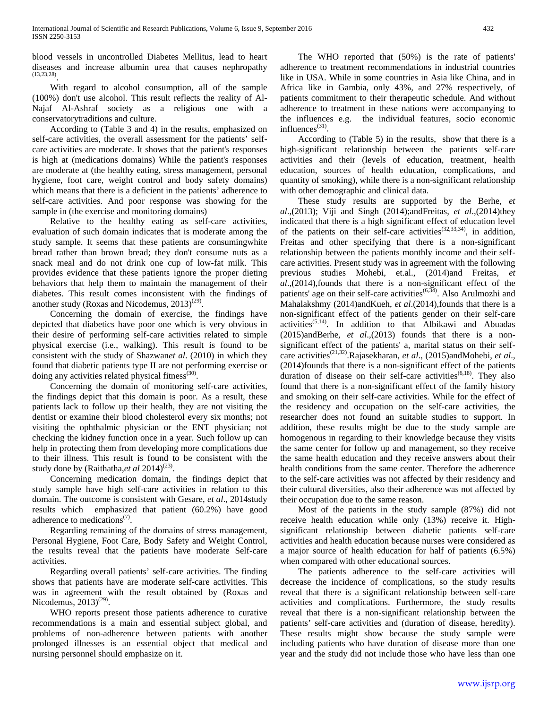blood vessels in uncontrolled Diabetes Mellitus, lead to heart diseases and increase albumin urea that causes nephropathy (13,23,28).

 With regard to alcohol consumption, all of the sample (100%) don't use alcohol. This result reflects the reality of Al-Najaf Al-Ashraf society as a religious one with a conservatorytraditions and culture.

 According to (Table 3 and 4) in the results, emphasized on self-care activities, the overall assessment for the patients' selfcare activities are moderate. It shows that the patient's responses is high at (medications domains) While the patient's responses are moderate at (the healthy eating, stress management, personal hygiene, foot care, weight control and body safety domains) which means that there is a deficient in the patients' adherence to self-care activities. And poor response was showing for the sample in (the exercise and monitoring domains)

 Relative to the healthy eating as self-care activities, evaluation of such domain indicates that is moderate among the study sample. It seems that these patients are consumingwhite bread rather than brown bread; they don't consume nuts as a snack meal and do not drink one cup of low-fat milk. This provides evidence that these patients ignore the proper dieting behaviors that help them to maintain the management of their diabetes. This result comes inconsistent with the findings of another study (Roxas and Nicodemus,  $2013)^{(29)}$ .

 Concerning the domain of exercise, the findings have depicted that diabetics have poor one which is very obvious in their desire of performing self-care activities related to simple physical exercise (i.e., walking). This result is found to be consistent with the study of Shazwan*et al*. (2010) in which they found that diabetic patients type II are not performing exercise or doing any activities related physical fitness $(30)$ .

 Concerning the domain of monitoring self-care activities, the findings depict that this domain is poor. As a result, these patients lack to follow up their health, they are not visiting the dentist or examine their blood cholesterol every six months; not visiting the ophthalmic physician or the ENT physician; not checking the kidney function once in a year. Such follow up can help in protecting them from developing more complications due to their illness. This result is found to be consistent with the study done by (Raithatha,*et al* 2014)<sup>(23)</sup>.

 Concerning medication domain, the findings depict that study sample have high self-care activities in relation to this domain. The outcome is consistent with Gesare, *et al*., 2014study results which emphasized that patient (60.2%) have good adherence to medications<sup>(7)</sup>.

 Regarding remaining of the domains of stress management, Personal Hygiene, Foot Care, Body Safety and Weight Control, the results reveal that the patients have moderate Self-care activities.

 Regarding overall patients' self-care activities. The finding shows that patients have are moderate self-care activities. This was in agreement with the result obtained by (Roxas and Nicodemus,  $2013^{(29)}$ .

 WHO reports present those patients adherence to curative recommendations is a main and essential subject global, and problems of non-adherence between patients with another prolonged illnesses is an essential object that medical and nursing personnel should emphasize on it.

 The WHO reported that (50%) is the rate of patients' adherence to treatment recommendations in industrial countries like in USA. While in some countries in Asia like China, and in Africa like in Gambia, only 43%, and 27% respectively, of patients commitment to their therapeutic schedule. And without adherence to treatment in these nations were accompanying to the influences e.g. the individual features, socio economic influences<sup>(31)</sup>.

 According to (Table 5) in the results, show that there is a high-significant relationship between the patients self-care activities and their (levels of education, treatment, health education, sources of health education, complications, and quantity of smoking), while there is a non-significant relationship with other demographic and clinical data.

 These study results are supported by the Berhe, *et al*.,(2013); Viji and Singh (2014);andFreitas, *et al*.,(2014)they indicated that there is a high significant effect of education level of the patients on their self-care activities<sup>(32,33,34)</sup>, in addition, Freitas and other specifying that there is a non-significant relationship between the patients monthly income and their selfcare activities. Present study was in agreement with the following previous studies Mohebi, et.al., (2014)and Freitas, *et al*.,(2014),founds that there is a non-significant effect of the patients' age on their self-care activities<sup> $(6,34)$ </sup>. Also Arulmozhi and Mahalakshmy (2014)andKueh, *et al*.(2014),founds that there is a non-significant effect of the patients gender on their self-care activities(5,14). In addition to that Albikawi and Abuadas (2015)andBerhe, *et al*.,(2013) founds that there is a nonsignificant effect of the patients' a, marital status on their selfcare activities(21,32).Rajasekharan, *et al*., (2015)andMohebi, *et al*., (2014)founds that there is a non-significant effect of the patients duration of disease on their self-care activities<sup> $(6,18)$ </sup>. They also found that there is a non-significant effect of the family history and smoking on their self-care activities. While for the effect of the residency and occupation on the self-care activities, the researcher does not found an suitable studies to support. In addition, these results might be due to the study sample are homogenous in regarding to their knowledge because they visits the same center for follow up and management, so they receive the same health education and they receive answers about their health conditions from the same center. Therefore the adherence to the self-care activities was not affected by their residency and their cultural diversities, also their adherence was not affected by their occupation due to the same reason.

 Most of the patients in the study sample (87%) did not receive health education while only (13%) receive it. Highsignificant relationship between diabetic patients self-care activities and health education because nurses were considered as a major source of health education for half of patients (6.5%) when compared with other educational sources.

 The patients adherence to the self-care activities will decrease the incidence of complications, so the study results reveal that there is a significant relationship between self-care activities and complications. Furthermore, the study results reveal that there is a non-significant relationship between the patients' self-care activities and (duration of disease, heredity). These results might show because the study sample were including patients who have duration of disease more than one year and the study did not include those who have less than one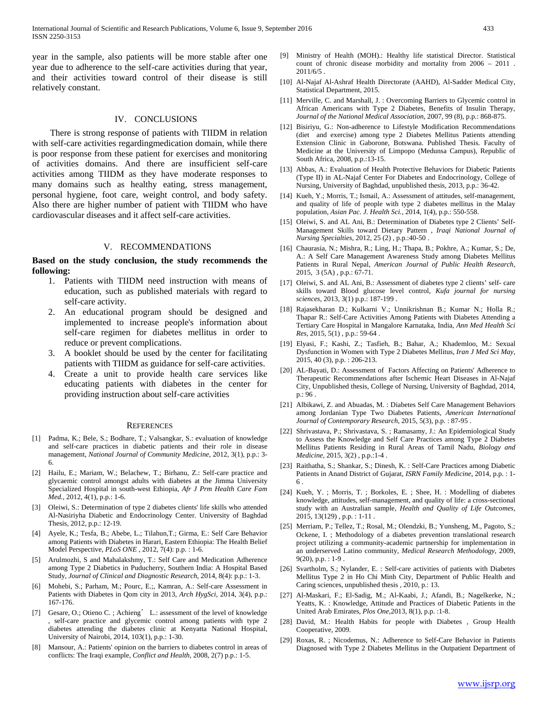year in the sample, also patients will be more stable after one year due to adherence to the self-care activities during that year, and their activities toward control of their disease is still relatively constant.

## IV. CONCLUSIONS

 There is strong response of patients with TIIDM in relation with self-care activities regardingmedication domain, while there is poor response from these patient for exercises and monitoring of activities domains. And there are insufficient self-care activities among TIIDM as they have moderate responses to many domains such as healthy eating, stress management, personal hygiene, foot care, weight control, and body safety. Also there are higher number of patient with TIIDM who have cardiovascular diseases and it affect self-care activities.

## V. RECOMMENDATIONS

## **Based on the study conclusion, the study recommends the following:**

- 1. Patients with TIIDM need instruction with means of education, such as published materials with regard to self-care activity.
- 2. An educational program should be designed and implemented to increase people's information about self-care regimen for diabetes mellitus in order to reduce or prevent complications.
- 3. A booklet should be used by the center for facilitating patients with TIIDM as guidance for self-care activities.
- 4. Create a unit to provide health care services like educating patients with diabetes in the center for providing instruction about self-care activities

#### **REFERENCES**

- [1] Padma, K.; Bele, S.; Bodhare, T.; Valsangkar, S.: evaluation of knowledge and self-care practices in diabetic patients and their role in disease management, *National Journal of Community Medicine*, 2012, 3(1), p.p.: 3- 6.
- [2] Hailu, E.; Mariam, W.; Belachew, T.; Birhanu, Z.: Self-care practice and glycaemic control amongst adults with diabetes at the Jimma University Specialized Hospital in south-west Ethiopia*, Afr J Prm Health Care Fam Med.*, 2012, 4(1), p.p.: 1-6.
- [3] Oleiwi, S.: Determination of type 2 diabetes clients' life skills who attended Al-Nasiriyha Diabetic and Endocrinology Center. University of Baghdad Thesis, 2012, p.p.: 12-19.
- [4] Ayele, K.; Tesfa, B.; Abebe, L.; Tilahun,T.; Girma, E.: Self Care Behavior among Patients with Diabetes in Harari, Eastern Ethiopia: The Health Belief Model Perspective, *PLoS ONE* , 2012, 7(4): p.p. : 1-6.
- [5] Arulmozhi, S and Mahalakshmy, T.: Self Care and Medication Adherence among Type 2 Diabetics in Puducherry, Southern India: A Hospital Based Study*, Journal of Clinical and Diagnostic Research*, 2014, 8(4): p.p.: 1-3.
- [6] Mohebi, S.; Parham, M.; Pourc, E.;, Kamran, A.: Self-care Assessment in Patients with Diabetes in Qom city in 2013, *Arch HygSci,* 2014, 3(4), p.p.: 167-176.
- [7] Gesare, O.; Otieno C. ; Achieng' L.: assessment of the level of knowledge , self-care practice and glycemic control among patients with type 2 diabetes attending the diabetes clinic at Kenyatta National Hospital, University of Nairobi, 2014, 103(1), p.p.: 1-30.
- [8] Mansour, A.: Patients' opinion on the barriers to diabetes control in areas of conflicts: The Iraqi example, *Conflict and Health*, 2008, 2(7) p.p.: 1-5.
- [9] Ministry of Health (MOH).: Healthy life statistical Director. Statistical count of chronic disease morbidity and mortality from 2006 – 2011 . 2011/6/5 .
- [10] Al-Najaf Al-Ashraf Health Directorate (AAHD), Al-Sadder Medical City, Statistical Department, 2015.
- [11] Merville, C. and Marshall, J. : Overcoming Barriers to Glycemic control in African Americans with Type 2 Diabetes, Benefits of Insulin Therapy, *Journal of the National Medical Association*, 2007, 99 (8), p.p.: 868-875.
- [12] Bisiriyu, G.: Non-adherence to Lifestyle Modification Recommendations (diet and exercise) among type 2 Diabetes Mellitus Patients attending Extension Clinic in Gaborone, Botswana. Published Thesis. Faculty of Medicine at the University of Limpopo (Medunsa Campus), Republic of South Africa, 2008, p.p.:13-15.
- [13] Abbas, A.: Evaluation of Health Protective Behaviors for Diabetic Patients (Type II) in AL-Najaf Center For Diabetes and Endocrinology, College of Nursing, University of Baghdad, unpublished thesis, 2013, p.p.: 36-42.
- [14] Kueh, Y.; Morris, T.; Ismail, A.: Assessment of attitudes, self-management, and quality of life of people with type 2 diabetes mellitus in the Malay population, *Asian Pac. J. Health Sci.,* 2014, 1(4), p.p.: 550-558.
- [15] Oleiwi, S. and AL Ani, B.: Determination of Diabetes type 2 Clients' Self-Management Skills toward Dietary Pattern *, Iraqi National Journal of Nursing Specialties*, 2012, 25 (2) , p.p.:40-50 .
- [16] Chaurasia, N.; Mishra, R.; Ling, H.; Thapa, B.; Pokhre, A.; Kumar, S.; De, A.: A Self Care Management Awareness Study among Diabetes Mellitus Patients in Rural Nepal, *American Journal of Public Health Research*, 2015, [3 \(5A\) , p.p.: 67-71.](http://link.springer.com/journal/12160/40/2/page/1)
- [17] Oleiwi, S. and AL Ani, B.: Assessment of diabetes type 2 clients' self- care skills toward Blood glucose level control, *Kufa journal for nursing sciences*, 2013, 3(1) p.p.: 187-199 .
- [18] Rajasekharan D.; Kulkarni V.; Unnikrishnan B.; Kumar N.; Holla R.; Thapar R.: Self-Care Activities Among Patients with Diabetes Attending a Tertiary Care Hospital in Mangalore Karnataka, India, *Ann Med Health Sci Res*, 2015, 5(1) , p.p.: 59-64 .
- [19] Elyasi, F.; Kashi, Z.; Tasfieh, B.; Bahar, A.; Khademloo, M.: Sexual Dysfunction in Women with Type 2 Diabetes Mellitus, *Iran J Med Sci May*, 2015, 40 (3), p.p. : 206-213.
- [20] AL-Bayati, D.: Assessment of Factors Affecting on Patients' Adherence to Therapeutic Recommendations after Ischemic Heart Diseases in Al-Najaf City, Unpublished thesis, College of Nursing, University of Baghdad, 2014, p.: 96 .
- [21] Albikawi, Z. and Abuadas, M. : Diabetes Self Care Management Behaviors among Jordanian Type Two Diabetes Patients, *American International Journal of Contemporary Research*, 2015, 5(3), p.p. : 87-95 .
- [22] Shrivastava, P.; Shrivastava, S. ; Ramasamy, J.: An Epidemiological Study to Assess the Knowledge and Self Care Practices among Type 2 Diabetes Mellitus Patients Residing in Rural Areas of Tamil Nadu, *Biology and Medicine*, 2015, 3(2) , p.p.:1-4 .
- [23] Raithatha, S.; Shankar, S.; Dinesh, K. : Self-Care Practices among Diabetic Patients in Anand District of Gujarat, *ISRN Family Medicine*, 2014, p.p. : 1- 6 .
- [24] Kueh, Y.; Morris, T.; Borkoles, E.; Shee, H.; Modelling of diabetes knowledge, attitudes, self-management, and quality of life: a cross-sectional study with an Australian sample, *Health and Quality of Life Outcomes*, 2015, 13(129) , p.p. : 1-11 .
- [25] Merriam, P.; Tellez, T.; Rosal, M.; Olendzki, B.; Yunsheng, M., Pagoto, S.; Ockene, I. ; Methodology of a diabetes prevention translational research project utilizing a community-academic partnership for implementation in an underserved Latino community, *Medical Research Methodology*, 2009, 9(20), p.p. : 1-9 .
- [26] Svartholm, S.; Nylander, E. : Self-care activities of patients with Diabetes Mellitus Type 2 in Ho Chi Minh City, Department of Public Health and Caring sciences, unpublished thesis , 2010, p.: 13.
- [27] Al-Maskari, F.; El-Sadig, M.; Al-Kaabi, J.; Afandi, B.; Nagelkerke, N.; Yeatts, K. : Knowledge, Attitude and Practices of Diabetic Patients in the United Arab Emirates*, Plos One*,2013, 8(1), p.p. :1-8.
- [28] David, M.: Health Habits for people with Diabetes , Group Health Cooperative, 2009.
- [29] Roxas, R. ; Nicodemus, N.: Adherence to Self-Care Behavior in Patients Diagnosed with Type 2 Diabetes Mellitus in the Outpatient Department of